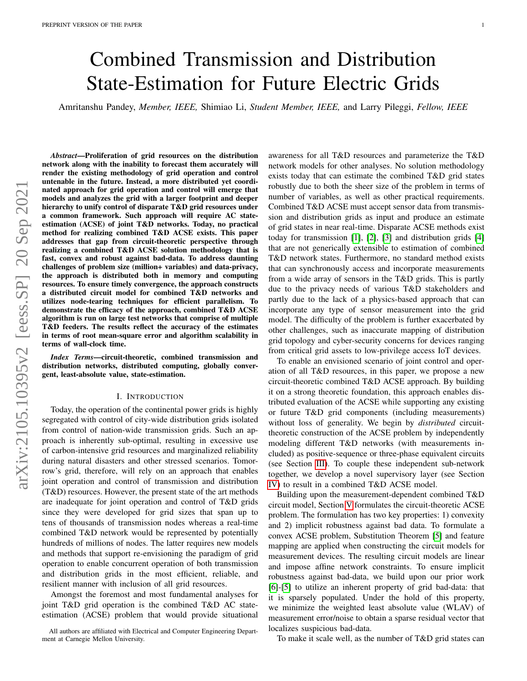# Combined Transmission and Distribution State-Estimation for Future Electric Grids

Amritanshu Pandey, *Member, IEEE,* Shimiao Li, *Student Member, IEEE,* and Larry Pileggi, *Fellow, IEEE*

*Abstract*—Proliferation of grid resources on the distribution network along with the inability to forecast them accurately will render the existing methodology of grid operation and control untenable in the future. Instead, a more distributed yet coordinated approach for grid operation and control will emerge that models and analyzes the grid with a larger footprint and deeper hierarchy to unify control of disparate T&D grid resources under a common framework. Such approach will require AC stateestimation (ACSE) of joint T&D networks. Today, no practical method for realizing combined T&D ACSE exists. This paper addresses that gap from circuit-theoretic perspective through realizing a combined T&D ACSE solution methodology that is fast, convex and robust against bad-data. To address daunting challenges of problem size (million+ variables) and data-privacy, the approach is distributed both in memory and computing resources. To ensure timely convergence, the approach constructs a distributed circuit model for combined T&D networks and utilizes node-tearing techniques for efficient parallelism. To demonstrate the efficacy of the approach, combined T&D ACSE algorithm is run on large test networks that comprise of multiple T&D feeders. The results reflect the accuracy of the estimates in terms of root mean-square error and algorithm scalability in terms of wall-clock time.

*Index Terms*—circuit-theoretic, combined transmission and distribution networks, distributed computing, globally convergent, least-absolute value, state-estimation.

#### I. INTRODUCTION

Today, the operation of the continental power grids is highly segregated with control of city-wide distribution grids isolated from control of nation-wide transmission grids. Such an approach is inherently sub-optimal, resulting in excessive use of carbon-intensive grid resources and marginalized reliability during natural disasters and other stressed scenarios. Tomorrow's grid, therefore, will rely on an approach that enables joint operation and control of transmission and distribution (T&D) resources. However, the present state of the art methods are inadequate for joint operation and control of T&D grids since they were developed for grid sizes that span up to tens of thousands of transmission nodes whereas a real-time combined T&D network would be represented by potentially hundreds of millions of nodes. The latter requires new models and methods that support re-envisioning the paradigm of grid operation to enable concurrent operation of both transmission and distribution grids in the most efficient, reliable, and resilient manner with inclusion of all grid resources.

Amongst the foremost and most fundamental analyses for joint T&D grid operation is the combined T&D AC stateestimation (ACSE) problem that would provide situational awareness for all T&D resources and parameterize the T&D network models for other analyses. No solution methodology exists today that can estimate the combined T&D grid states robustly due to both the sheer size of the problem in terms of number of variables, as well as other practical requirements. Combined T&D ACSE must accept sensor data from transmission and distribution grids as input and produce an estimate of grid states in near real-time. Disparate ACSE methods exist today for transmission [\[1\]](#page-8-0), [\[2\]](#page-8-1), [\[3\]](#page-8-2) and distribution grids [\[4\]](#page-8-3) that are not generically extensible to estimation of combined T&D network states. Furthermore, no standard method exists that can synchronously access and incorporate measurements from a wide array of sensors in the T&D grids. This is partly due to the privacy needs of various T&D stakeholders and partly due to the lack of a physics-based approach that can incorporate any type of sensor measurement into the grid model. The difficulty of the problem is further exacerbated by other challenges, such as inaccurate mapping of distribution grid topology and cyber-security concerns for devices ranging from critical grid assets to low-privilege access IoT devices.

To enable an envisioned scenario of joint control and operation of all T&D resources, in this paper, we propose a new circuit-theoretic combined T&D ACSE approach. By building it on a strong theoretic foundation, this approach enables distributed evaluation of the ACSE while supporting any existing or future T&D grid components (including measurements) without loss of generality. We begin by *distributed* circuittheoretic construction of the ACSE problem by independently modeling different T&D networks (with measurements included) as positive-sequence or three-phase equivalent circuits (see Section [III\)](#page-2-0). To couple these independent sub-network together, we develop a novel supervisory layer (see Section [IV\)](#page-4-0) to result in a combined T&D ACSE model.

Building upon the measurement-dependent combined T&D circuit model, Section [V](#page-4-1) formulates the circuit-theoretic ACSE problem. The formulation has two key properties: 1) convexity and 2) implicit robustness against bad data. To formulate a convex ACSE problem, Substitution Theorem [\[5\]](#page-8-4) and feature mapping are applied when constructing the circuit models for measurement devices. The resulting circuit models are linear and impose affine network constraints. To ensure implicit robustness against bad-data, we build upon our prior work [\[6\]](#page-8-5)-[\[5\]](#page-8-4) to utilize an inherent property of grid bad-data: that it is sparsely populated. Under the hold of this property, we minimize the weighted least absolute value (WLAV) of measurement error/noise to obtain a sparse residual vector that localizes suspicious bad-data.

To make it scale well, as the number of T&D grid states can

All authors are affiliated with Electrical and Computer Engineering Department at Carnegie Mellon University.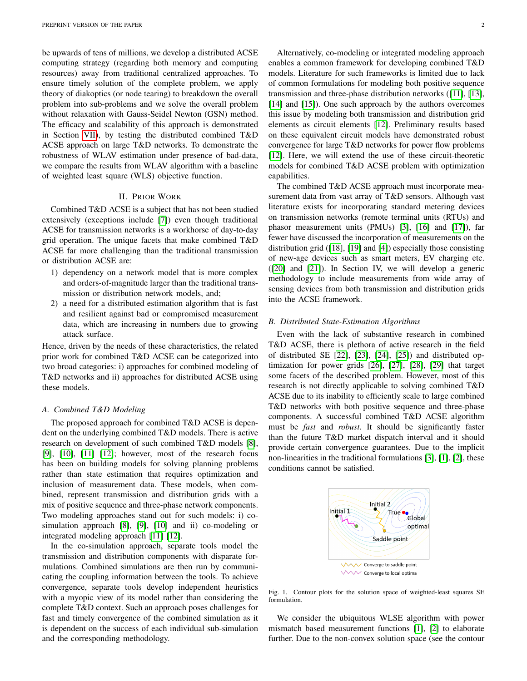be upwards of tens of millions, we develop a distributed ACSE computing strategy (regarding both memory and computing resources) away from traditional centralized approaches. To ensure timely solution of the complete problem, we apply theory of diakoptics (or node tearing) to breakdown the overall problem into sub-problems and we solve the overall problem without relaxation with Gauss-Seidel Newton (GSN) method. The efficacy and scalability of this approach is demonstrated in Section [VII\)](#page-7-0), by testing the distributed combined T&D ACSE approach on large T&D networks. To demonstrate the robustness of WLAV estimation under presence of bad-data, we compare the results from WLAV algorithm with a baseline of weighted least square (WLS) objective function.

# II. PRIOR WORK

Combined T&D ACSE is a subject that has not been studied extensively (exceptions include [\[7\]](#page-8-6)) even though traditional ACSE for transmission networks is a workhorse of day-to-day grid operation. The unique facets that make combined T&D ACSE far more challenging than the traditional transmission or distribution ACSE are:

- 1) dependency on a network model that is more complex and orders-of-magnitude larger than the traditional transmission or distribution network models, and;
- 2) a need for a distributed estimation algorithm that is fast and resilient against bad or compromised measurement data, which are increasing in numbers due to growing attack surface.

Hence, driven by the needs of these characteristics, the related prior work for combined T&D ACSE can be categorized into two broad categories: i) approaches for combined modeling of T&D networks and ii) approaches for distributed ACSE using these models.

### *A. Combined T&D Modeling*

The proposed approach for combined T&D ACSE is dependent on the underlying combined T&D models. There is active research on development of such combined T&D models [\[8\]](#page-8-7), [\[9\]](#page-8-8), [\[10\]](#page-8-9), [\[11\]](#page-8-10) [\[12\]](#page-9-0); however, most of the research focus has been on building models for solving planning problems rather than state estimation that requires optimization and inclusion of measurement data. These models, when combined, represent transmission and distribution grids with a mix of positive sequence and three-phase network components. Two modeling approaches stand out for such models: i) cosimulation approach [\[8\]](#page-8-7), [\[9\]](#page-8-8), [\[10\]](#page-8-9) and ii) co-modeling or integrated modeling approach [\[11\]](#page-8-10) [\[12\]](#page-9-0).

In the co-simulation approach, separate tools model the transmission and distribution components with disparate formulations. Combined simulations are then run by communicating the coupling information between the tools. To achieve convergence, separate tools develop independent heuristics with a myopic view of its model rather than considering the complete T&D context. Such an approach poses challenges for fast and timely convergence of the combined simulation as it is dependent on the success of each individual sub-simulation and the corresponding methodology.

enables a common framework for developing combined T&D models. Literature for such frameworks is limited due to lack of common formulations for modeling both positive sequence transmission and three-phase distribution networks ([\[11\]](#page-8-10), [\[13\]](#page-9-1), [\[14\]](#page-9-2) and [\[15\]](#page-9-3)). One such approach by the authors overcomes this issue by modeling both transmission and distribution grid elements as circuit elements [\[12\]](#page-9-0). Preliminary results based on these equivalent circuit models have demonstrated robust convergence for large T&D networks for power flow problems [\[12\]](#page-9-0). Here, we will extend the use of these circuit-theoretic models for combined T&D ACSE problem with optimization capabilities.

The combined T&D ACSE approach must incorporate measurement data from vast array of T&D sensors. Although vast literature exists for incorporating standard metering devices on transmission networks (remote terminal units (RTUs) and phasor measurement units (PMUs) [\[3\]](#page-8-2), [\[16\]](#page-9-4) and [\[17\]](#page-9-5)), far fewer have discussed the incorporation of measurements on the distribution grid ([\[18\]](#page-9-6), [\[19\]](#page-9-7) and [\[4\]](#page-8-3)) especially those consisting of new-age devices such as smart meters, EV charging etc. ([\[20\]](#page-9-8) and [\[21\]](#page-9-9)). In Section IV, we will develop a generic methodology to include measurements from wide array of sensing devices from both transmission and distribution grids into the ACSE framework.

#### *B. Distributed State-Estimation Algorithms*

Even with the lack of substantive research in combined T&D ACSE, there is plethora of active research in the field of distributed SE [\[22\]](#page-9-10), [\[23\]](#page-9-11), [\[24\]](#page-9-12), [\[25\]](#page-9-13)) and distributed optimization for power grids [\[26\]](#page-9-14), [\[27\]](#page-9-15), [\[28\]](#page-9-16), [\[29\]](#page-9-17) that target some facets of the described problem. However, most of this research is not directly applicable to solving combined T&D ACSE due to its inability to efficiently scale to large combined T&D networks with both positive sequence and three-phase components. A successful combined T&D ACSE algorithm must be *fast* and *robust*. It should be significantly faster than the future T&D market dispatch interval and it should provide certain convergence guarantees. Due to the implicit non-linearities in the traditional formulations [\[3\]](#page-8-2), [\[1\]](#page-8-0), [\[2\]](#page-8-1), these conditions cannot be satisfied.



<span id="page-1-0"></span>Fig. 1. Contour plots for the solution space of weighted-least squares SE formulation.

We consider the ubiquitous WLSE algorithm with power mismatch based measurement functions [\[1\]](#page-8-0), [\[2\]](#page-8-1) to elaborate further. Due to the non-convex solution space (see the contour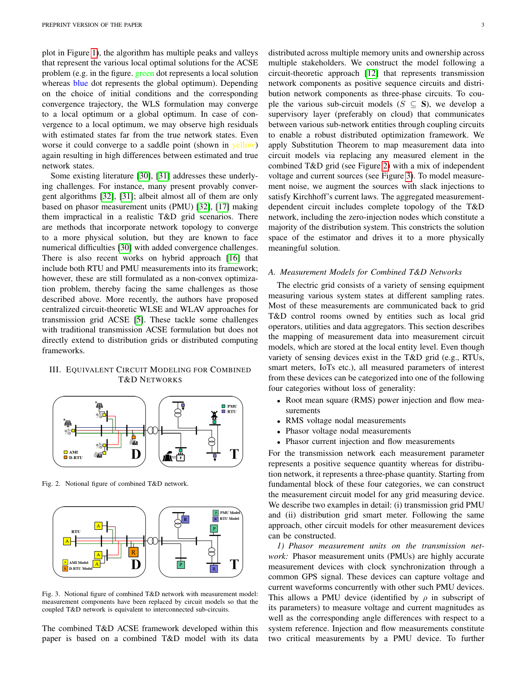plot in Figure [1\)](#page-1-0), the algorithm has multiple peaks and valleys that represent the various local optimal solutions for the ACSE problem (e.g. in the figure. green dot represents a local solution whereas blue dot represents the global optimum). Depending on the choice of initial conditions and the corresponding convergence trajectory, the WLS formulation may converge to a local optimum or a global optimum. In case of convergence to a local optimum, we may observe high residuals with estimated states far from the true network states. Even worse it could converge to a saddle point (shown in yellow) again resulting in high differences between estimated and true network states.

Some existing literature [\[30\]](#page-9-18), [\[31\]](#page-9-19) addresses these underlying challenges. For instance, many present provably convergent algorithms [\[32\]](#page-9-20), [\[31\]](#page-9-19); albeit almost all of them are only based on phasor measurement units (PMU) [\[32\]](#page-9-20), [\[17\]](#page-9-5) making them impractical in a realistic T&D grid scenarios. There are methods that incorporate network topology to converge to a more physical solution, but they are known to face numerical difficulties [\[30\]](#page-9-18) with added convergence challenges. There is also recent works on hybrid approach [\[16\]](#page-9-4) that include both RTU and PMU measurements into its framework; however, these are still formulated as a non-convex optimization problem, thereby facing the same challenges as those described above. More recently, the authors have proposed centralized circuit-theoretic WLSE and WLAV approaches for transmission grid ACSE [\[5\]](#page-8-4). These tackle some challenges with traditional transmission ACSE formulation but does not directly extend to distribution grids or distributed computing frameworks.

## <span id="page-2-0"></span>III. EQUIVALENT CIRCUIT MODELING FOR COMBINED T&D NETWORKS



<span id="page-2-1"></span>Fig. 2. Notional figure of combined T&D network.



<span id="page-2-2"></span>Fig. 3. Notional figure of combined T&D network with measurement model: measurement components have been replaced by circuit models so that the coupled T&D network is equivalent to interconnected sub-circuits.

The combined T&D ACSE framework developed within this paper is based on a combined T&D model with its data distributed across multiple memory units and ownership across multiple stakeholders. We construct the model following a circuit-theoretic approach [\[12\]](#page-9-0) that represents transmission network components as positive sequence circuits and distribution network components as three-phase circuits. To couple the various sub-circuit models ( $S \subseteq S$ ), we develop a supervisory layer (preferably on cloud) that communicates between various sub-network entities through coupling circuits to enable a robust distributed optimization framework. We apply Substitution Theorem to map measurement data into circuit models via replacing any measured element in the combined T&D grid (see Figure [2\)](#page-2-1) with a mix of independent voltage and current sources (see Figure [3\)](#page-2-2). To model measurement noise, we augment the sources with slack injections to satisfy Kirchhoff's current laws. The aggregated measurementdependent circuit includes complete topology of the T&D network, including the zero-injection nodes which constitute a majority of the distribution system. This constricts the solution space of the estimator and drives it to a more physically meaningful solution.

#### *A. Measurement Models for Combined T&D Networks*

The electric grid consists of a variety of sensing equipment measuring various system states at different sampling rates. Most of these measurements are communicated back to grid T&D control rooms owned by entities such as local grid operators, utilities and data aggregators. This section describes the mapping of measurement data into measurement circuit models, which are stored at the local entity level. Even though variety of sensing devices exist in the T&D grid (e.g., RTUs, smart meters, IoTs etc.), all measured parameters of interest from these devices can be categorized into one of the following four categories without loss of generality:

- Root mean square (RMS) power injection and flow measurements
- RMS voltage nodal measurements
- Phasor voltage nodal measurements
- Phasor current injection and flow measurements

For the transmission network each measurement parameter represents a positive sequence quantity whereas for distribution network, it represents a three-phase quantity. Starting from fundamental block of these four categories, we can construct the measurement circuit model for any grid measuring device. We describe two examples in detail: (i) transmission grid PMU and (ii) distribution grid smart meter. Following the same approach, other circuit models for other measurement devices can be constructed.

*1) Phasor measurement units on the transmission network:* Phasor measurement units (PMUs) are highly accurate measurement devices with clock synchronization through a common GPS signal. These devices can capture voltage and current waveforms concurrently with other such PMU devices. This allows a PMU device (identified by  $\rho$  in subscript of its parameters) to measure voltage and current magnitudes as well as the corresponding angle differences with respect to a system reference. Injection and flow measurements constitute two critical measurements by a PMU device. To further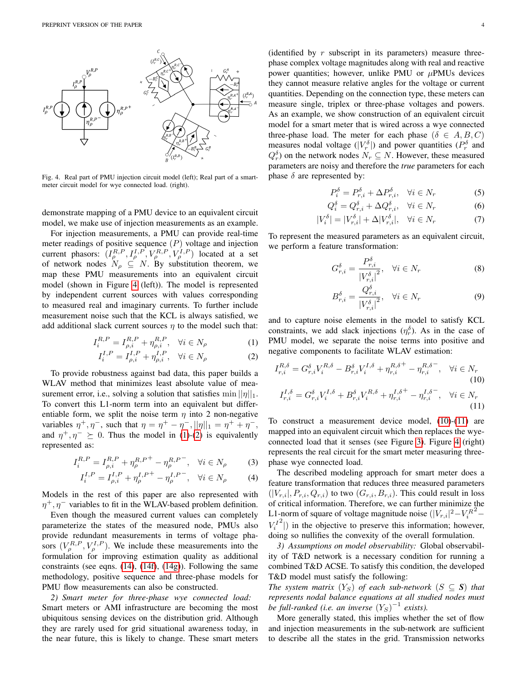

<span id="page-3-0"></span>Fig. 4. Real part of PMU injection circuit model (left); Real part of a smartmeter circuit model for wye connected load. (right).

demonstrate mapping of a PMU device to an equivalent circuit model, we make use of injection measurements as an example.

For injection measurements, a PMU can provide real-time meter readings of positive sequence  $(P)$  voltage and injection current phasors:  $(I_{\rho}^{R,P}, I_{\rho}^{I,P}, V_{\rho}^{R,P}, V_{\rho}^{I,P})$  located at a set of network nodes  $N_\rho \subseteq N$ . By substitution theorem, we map these PMU measurements into an equivalent circuit model (shown in Figure [4](#page-3-0) (left)). The model is represented by independent current sources with values corresponding to measured real and imaginary currents. To further include measurement noise such that the KCL is always satisfied, we add additional slack current sources  $\eta$  to the model such that:

$$
I_i^{R,P} = I_{\rho,i}^{R,P} + \eta_{\rho,i}^{R,P}, \quad \forall i \in N_\rho \tag{1}
$$

$$
I_i^{I,P} = I_{\rho,i}^{I,P} + \eta_{\rho,i}^{I,P}, \quad \forall i \in N_\rho \tag{2}
$$

To provide robustness against bad data, this paper builds a WLAV method that minimizes least absolute value of measurement error, i.e., solving a solution that satisfies  $\min ||\eta||_1$ . To convert this L1-norm term into an equivalent but differentiable form, we split the noise term  $\eta$  into 2 non-negative variables  $\eta^+, \eta^-,$  such that  $\eta = \eta^+ - \eta^-, ||\eta||_1 = \eta^+ + \eta^-,$ and  $\eta^+$ ,  $\eta^ \succeq$  0. Thus the model in [\(1\)](#page-3-1)-[\(2\)](#page-3-2) is equivalently represented as:

$$
I_i^{R,P} = I_{\rho,i}^{R,P} + \eta_{\rho}^{R,P^{+}} - \eta_{\rho}^{R,P^{-}}, \quad \forall i \in N_{\rho}
$$
 (3)

$$
I_i^{I,P} = I_{\rho,i}^{I,P} + \eta_{\rho}^{I,P} + \eta_{\rho}^{I,P} - \eta_{\rho}^{I,P} , \quad \forall i \in N_{\rho} \tag{4}
$$

Models in the rest of this paper are also represented with  $\eta^+, \eta^-$  variables to fit in the WLAV-based problem definition.

Even though the measured current values can completely parameterize the states of the measured node, PMUs also provide redundant measurements in terms of voltage phasors  $(V_{\rho}^{R,P}, V_{\rho}^{I,P})$ . We include these measurements into the formulation for improving estimation quality as additional constraints (see eqns. [\(14\)](#page-5-0), [\(14f\)](#page-5-1), [\(14g\)](#page-5-2)). Following the same methodology, positive sequence and three-phase models for PMU flow measurements can also be constructed.

*2) Smart meter for three-phase wye connected load:* Smart meters or AMI infrastructure are becoming the most ubiquitous sensing devices on the distribution grid. Although they are rarely used for grid situational awareness today, in the near future, this is likely to change. These smart meters

(identified by  $r$  subscript in its parameters) measure threephase complex voltage magnitudes along with real and reactive power quantities; however, unlike PMU or  $\mu$ PMUs devices they cannot measure relative angles for the voltage or current quantities. Depending on the connection type, these meters can measure single, triplex or three-phase voltages and powers. As an example, we show construction of an equivalent circuit model for a smart meter that is wired across a wye connected three-phase load. The meter for each phase  $(\delta \in A, B, C)$ measures nodal voltage  $(|V_r^{\delta}|)$  and power quantities  $(P_r^{\delta}$  and  $Q_r^{\delta}$  on the network nodes  $N_r \subseteq N$ . However, these measured parameters are noisy and therefore the *true* parameters for each phase  $\delta$  are represented by:

$$
P_i^{\delta} = P_{r,i}^{\delta} + \Delta P_{r,i}^{\delta}, \quad \forall i \in N_r
$$
 (5)

$$
Q_i^{\delta} = Q_{r,i}^{\delta} + \Delta Q_{r,i}^{\delta}, \quad \forall i \in N_r
$$
 (6)

$$
|V_i^{\delta}| = |V_{r,i}^{\delta}| + \Delta |V_{r,i}^{\delta}|, \quad \forall i \in N_r \tag{7}
$$

To represent the measured parameters as an equivalent circuit, we perform a feature transformation:

$$
G_{r,i}^{\delta} = \frac{P_{r,i}^{\delta}}{|V_{r,i}^{\delta}|^2}, \quad \forall i \in N_r
$$
\n(8)

<span id="page-3-4"></span><span id="page-3-3"></span>
$$
B_{r,i}^{\delta} = \frac{Q_{r,i}^{\delta}}{|V_{r,i}^{\delta}|^2}, \quad \forall i \in N_r
$$
 (9)

<span id="page-3-1"></span>and to capture noise elements in the model to satisfy KCL constraints, we add slack injections  $(\eta_r^{\delta})$ . As in the case of PMU model, we separate the noise terms into positive and negative components to facilitate WLAV estimation:

<span id="page-3-2"></span>
$$
I_{r,i}^{R,\delta} = G_{r,i}^{\delta} V_i^{R,\delta} - B_{r,i}^{\delta} V_i^{I,\delta} + \eta_{r,i}^{R,\delta^{+}} - \eta_{r,i}^{R,\delta^{-}}, \quad \forall i \in N_r
$$
\n(10)\n
$$
I_{r,i}^{I,\delta} = G_{r,i}^{\delta} V_i^{I,\delta} + B_{r,i}^{\delta} V_i^{R,\delta} + \eta_{r,i}^{I,\delta^{+}} - \eta_{r,i}^{I,\delta^{-}}, \quad \forall i \in N_r
$$
\n(11)

To construct a measurement device model, [\(10\)](#page-3-3)-[\(11\)](#page-3-4) are mapped into an equivalent circuit which then replaces the wyeconnected load that it senses (see Figure [3\)](#page-2-2). Figure [4](#page-3-0) (right) represents the real circuit for the smart meter measuring threephase wye connected load.

The described modeling approach for smart meter does a feature transformation that reduces three measured parameters  $(|V_{r,i}|, P_{r,i}, Q_{r,i})$  to two  $(G_{r,i}, B_{r,i})$ . This could result in loss of critical information. Therefore, we can further minimize the L1-norm of square of voltage magnitude noise  $(|V_{r,i}|^2 - V_i^R)$  $\alpha$ <sup>2</sup>  $V_i^I$  $2$ <sup>2</sup>) in the objective to preserve this information; however, doing so nullifies the convexity of the overall formulation.

*3) Assumptions on model observability:* Global observability of T&D network is a necessary condition for running a combined T&D ACSE. To satisfy this condition, the developed T&D model must satisfy the following:

*The system matrix*  $(Y_S)$  *of each sub-network*  $(S \subseteq S)$  *that represents nodal balance equations at all studied nodes must be full-ranked (i.e. an inverse*  $(Y_S)^{-1}$  *exists).* 

More generally stated, this implies whether the set of flow and injection measurements in the sub-network are sufficient to describe all the states in the grid. Transmission networks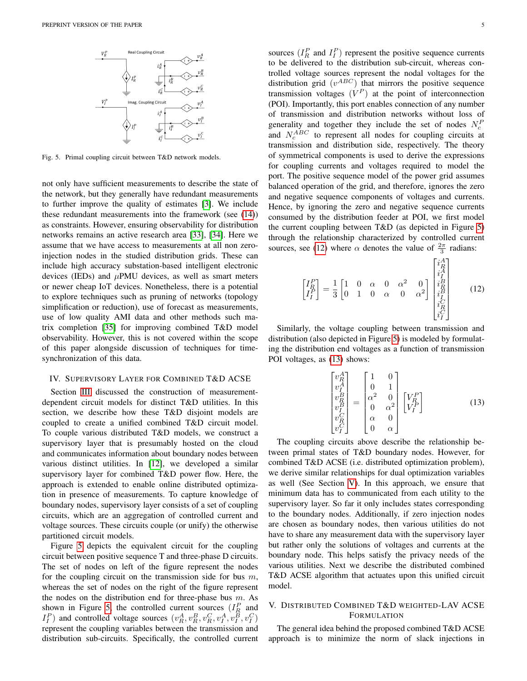

<span id="page-4-2"></span>Fig. 5. Primal coupling circuit between T&D network models.

not only have sufficient measurements to describe the state of the network, but they generally have redundant measurements to further improve the quality of estimates [\[3\]](#page-8-2). We include these redundant measurements into the framework (see [\(14\)](#page-5-0)) as constraints. However, ensuring observability for distribution networks remains an active research area [\[33\]](#page-9-21), [\[34\]](#page-9-22). Here we assume that we have access to measurements at all non zeroinjection nodes in the studied distribution grids. These can include high accuracy substation-based intelligent electronic devices (IEDs) and  $\mu$ PMU devices, as well as smart meters or newer cheap IoT devices. Nonetheless, there is a potential to explore techniques such as pruning of networks (topology simplification or reduction), use of forecast as measurements, use of low quality AMI data and other methods such matrix completion [\[35\]](#page-9-23) for improving combined T&D model observability. However, this is not covered within the scope of this paper alongside discussion of techniques for timesynchronization of this data.

### <span id="page-4-0"></span>IV. SUPERVISORY LAYER FOR COMBINED T&D ACSE

Section [III](#page-2-0) discussed the construction of measurementdependent circuit models for distinct T&D utilities. In this section, we describe how these T&D disjoint models are coupled to create a unified combined T&D circuit model. To couple various distributed T&D models, we construct a supervisory layer that is presumably hosted on the cloud and communicates information about boundary nodes between various distinct utilities. In [\[12\]](#page-9-0), we developed a similar supervisory layer for combined T&D power flow. Here, the approach is extended to enable online distributed optimization in presence of measurements. To capture knowledge of boundary nodes, supervisory layer consists of a set of coupling circuits, which are an aggregation of controlled current and voltage sources. These circuits couple (or unify) the otherwise partitioned circuit models.

Figure [5](#page-4-2) depicts the equivalent circuit for the coupling circuit between positive sequence T and three-phase D circuits. The set of nodes on left of the figure represent the nodes for the coupling circuit on the transmission side for bus  $m$ , whereas the set of nodes on the right of the figure represent the nodes on the distribution end for three-phase bus  $m$ . As shown in Figure [5,](#page-4-2) the controlled current sources  $(I_R^P$  and  $I_I^P$ ) and controlled voltage sources  $(v_A^A, v_B^B, v_A^C, v_I^A, v_I^B, v_I^C)$ represent the coupling variables between the transmission and distribution sub-circuits. Specifically, the controlled current

sources  $(I_R^P$  and  $I_I^P$ ) represent the positive sequence currents to be delivered to the distribution sub-circuit, whereas controlled voltage sources represent the nodal voltages for the distribution grid  $(v^{ABC})$  that mirrors the positive sequence transmission voltages  $(V^P)$  at the point of interconnection (POI). Importantly, this port enables connection of any number of transmission and distribution networks without loss of generality and together they include the set of nodes  $N_c^P$ and  $N_c^{ABC}$  to represent all nodes for coupling circuits at transmission and distribution side, respectively. The theory of symmetrical components is used to derive the expressions for coupling currents and voltages required to model the port. The positive sequence model of the power grid assumes balanced operation of the grid, and therefore, ignores the zero and negative sequence components of voltages and currents. Hence, by ignoring the zero and negative sequence currents consumed by the distribution feeder at POI, we first model the current coupling between T&D (as depicted in Figure [5\)](#page-4-2) through the relationship characterized by controlled current sources, see [\(12\)](#page-4-3) where  $\alpha$  denotes the value of  $\frac{2\pi}{3}$  radians:

<span id="page-4-3"></span>
$$
\begin{bmatrix} I_R^P \\ I_I^P \end{bmatrix} = \frac{1}{3} \begin{bmatrix} 1 & 0 & \alpha & 0 & \alpha^2 & 0 \\ 0 & 1 & 0 & \alpha & 0 & \alpha^2 \end{bmatrix} \begin{bmatrix} i_A^A \\ i_A^A \\ i_B^B \\ i_B^B \\ i_C^C \\ i_C^C \end{bmatrix}
$$
(12)

<span id="page-4-4"></span>Similarly, the voltage coupling between transmission and distribution (also depicted in Figure [5\)](#page-4-2) is modeled by formulating the distribution end voltages as a function of transmission POI voltages, as [\(13\)](#page-4-4) shows:

$$
\begin{bmatrix} v_R^A \\ v_I^A \\ v_R^B \\ v_I^B \\ v_I^C \\ v_I^C \end{bmatrix} = \begin{bmatrix} 1 & 0 \\ 0 & 1 \\ \alpha^2 & 0 \\ 0 & \alpha^2 \\ \alpha & 0 \\ 0 & \alpha \end{bmatrix} \begin{bmatrix} V_R^P \\ V_I^P \end{bmatrix}
$$
(13)

The coupling circuits above describe the relationship between primal states of T&D boundary nodes. However, for combined T&D ACSE (i.e. distributed optimization problem), we derive similar relationships for dual optimization variables as well (See Section [V\)](#page-4-1). In this approach, we ensure that minimum data has to communicated from each utility to the supervisory layer. So far it only includes states corresponding to the boundary nodes. Additionally, if zero injection nodes are chosen as boundary nodes, then various utilities do not have to share any measurement data with the supervisory layer but rather only the solutions of voltages and currents at the boundary node. This helps satisfy the privacy needs of the various utilities. Next we describe the distributed combined T&D ACSE algorithm that actuates upon this unified circuit model.

# <span id="page-4-1"></span>V. DISTRIBUTED COMBINED T&D WEIGHTED-LAV ACSE FORMULATION

The general idea behind the proposed combined T&D ACSE approach is to minimize the norm of slack injections in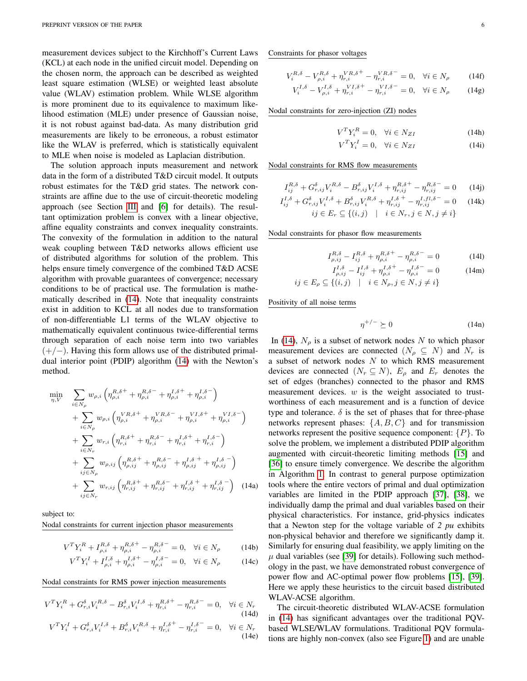measurement devices subject to the Kirchhoff's Current Laws (KCL) at each node in the unified circuit model. Depending on the chosen norm, the approach can be described as weighted least square estimation (WLSE) or weighted least absolute value (WLAV) estimation problem. While WLSE algorithm is more prominent due to its equivalence to maximum likelihood estimation (MLE) under presence of Gaussian noise, it is not robust against bad-data. As many distribution grid measurements are likely to be erroneous, a robust estimator like the WLAV is preferred, which is statistically equivalent to MLE when noise is modeled as Laplacian distribution.

The solution approach inputs measurement and network data in the form of a distributed T&D circuit model. It outputs robust estimates for the T&D grid states. The network constraints are affine due to the use of circuit-theoretic modeling approach (see Section [III](#page-2-0) and [\[6\]](#page-8-5) for details). The resultant optimization problem is convex with a linear objective, affine equality constraints and convex inequality constraints. The convexity of the formulation in addition to the natural weak coupling between T&D networks allows efficient use of distributed algorithms for solution of the problem. This helps ensure timely convergence of the combined T&D ACSE algorithm with provable guarantees of convergence; necessary conditions to be of practical use. The formulation is mathematically described in [\(14\)](#page-5-0). Note that inequality constraints exist in addition to KCL at all nodes due to transformation of non-differentiable L1 terms of the WLAV objective to mathematically equivalent continuous twice-differential terms through separation of each noise term into two variables  $(+/-)$ . Having this form allows use of the distributed primaldual interior point (PDIP) algorithm [\(14\)](#page-5-0) with the Newton's method.

<span id="page-5-0"></span>
$$
\min_{\eta, V} \sum_{i \in N_{\rho}} w_{\rho, i} \left( \eta_{\rho, i}^{R, \delta^{+}} + \eta_{\rho, i}^{R, \delta^{-}} + \eta_{\rho, i}^{I, \delta^{+}} + \eta_{\rho, i}^{I, \delta^{-}} \right) \n+ \sum_{i \in N_{\rho}} w_{\rho, i} \left( \eta_{\rho, i}^{V, \delta^{+}} + \eta_{\rho, i}^{V, \delta^{-}} + \eta_{\rho, i}^{V, \delta^{+}} + \eta_{\rho, i}^{V, \delta^{-}} \right) \n+ \sum_{i \in N_{r}} w_{r, i} \left( \eta_{r, i}^{R, \delta^{+}} + \eta_{r, i}^{R, \delta^{-}} + \eta_{r, i}^{I, \delta^{+}} + \eta_{r, i}^{I, \delta^{-}} \right) \n+ \sum_{i j \in N_{\rho}} w_{\rho, i j} \left( \eta_{\rho, i j}^{R, \delta^{+}} + \eta_{\rho, i j}^{R, \delta^{-}} + \eta_{\rho, i j}^{I, \delta^{+}} + \eta_{\rho, i j}^{I, \delta^{-}} \right) \n+ \sum_{i j \in N_{\rho}} w_{r, i j} \left( \eta_{r, i j}^{R, \delta^{+}} + \eta_{r, i j}^{R, \delta^{-}} + \eta_{r, i j}^{I, \delta^{+}} + \eta_{r, i j}^{I, \delta^{-}} \right) \quad (14a)
$$

subject to:

Nodal constraints for current injection phasor measurements

$$
V^{T}Y_{i}^{R} + I_{\rho,i}^{R,\delta} + \eta_{\rho,i}^{R,\delta^{+}} - \eta_{\rho,i}^{R,\delta^{-}} = 0, \quad \forall i \in N_{\rho}
$$
 (14b)

$$
V^{T}Y_{i}^{I} + I_{\rho,i}^{I,\delta} + \eta_{\rho,i}^{I,\delta^{+}} - \eta_{\rho,i}^{I,\delta^{-}} = 0, \quad \forall i \in N_{\rho}
$$
 (14c)

Nodal constraints for RMS power injection measurements

$$
V^{T}Y_{i}^{R} + G_{r,i}^{\delta}V_{i}^{R,\delta} - B_{r,i}^{\delta}V_{i}^{I,\delta} + \eta_{r,i}^{R,\delta^{+}} - \eta_{r,i}^{R,\delta^{-}} = 0, \quad \forall i \in N_{r}
$$
\n(14d)\n
$$
V^{T}Y_{i}^{I} + G_{r,i}^{\delta}V_{i}^{I,\delta} + B_{r,i}^{\delta}V_{i}^{R,\delta} + \eta_{r,i}^{I,\delta^{+}} - \eta_{r,i}^{I,\delta^{-}} = 0, \quad \forall i \in N_{r}
$$
\n(14e)

Constraints for phasor voltages

$$
V_i^{R,\delta} - V_{\rho,i}^{R,\delta} + \eta_{r,i}^{VR,\delta^+} - \eta_{r,i}^{VR,\delta^-} = 0, \quad \forall i \in N_\rho \tag{14f}
$$

$$
V_i^{I, \delta} - V_{\rho, i}^{I, \delta} + \eta_{r, i}^{VI, \delta^+} - \eta_{r, i}^{VI, \delta^-} = 0, \quad \forall i \in N_\rho \tag{14g}
$$

Nodal constraints for zero-injection (ZI) nodes

<span id="page-5-2"></span><span id="page-5-1"></span>
$$
V^T Y_i^R = 0, \quad \forall i \in N_{ZI} \tag{14h}
$$

$$
V^T Y_i^I = 0, \quad \forall i \in N_{ZI} \tag{14i}
$$

Nodal constraints for RMS flow measurements

$$
I_{ij}^{R,\delta} + G_{r,ij}^{\delta} V_i^{R,\delta} - B_{r,ij}^{\delta} V_i^{I,\delta} + \eta_{r,ij}^{R,\delta^+} - \eta_{r,ij}^{R,\delta^-} = 0 \qquad (14j)
$$

$$
I_{ij}^{I,\delta} + G_{r,ij}^{\delta} V_i^{I,\delta} + B_{r,ij}^{\delta} V_i^{R,\delta} + \eta_{r,ij}^{I,\delta^+} - \eta_{r,ij}^{I,fl,\delta^-} = 0 \quad (14k)
$$
  
\n
$$
ij \in E_r \subseteq \{(i,j) \mid i \in N_r, j \in N, j \neq i\}
$$

Nodal constraints for phasor flow measurements

$$
I_{\rho,ij}^{R,\delta} - I_{ij}^{R,\delta} + \eta_{\rho,i}^{R,\delta^+} - \eta_{\rho,i}^{R,\delta^-} = 0 \tag{141}
$$

$$
I_{\rho,ij}^{I,\delta} - I_{ij}^{I,\delta} + \eta_{\rho,i}^{I,\delta^+} - \eta_{\rho,i}^{I,\delta^-} = 0 \qquad (14m)
$$
  

$$
ij \in E_{\rho} \subseteq \{(i,j) \mid i \in N_{\rho}, j \in N, j \neq i\}
$$

Positivity of all noise terms

$$
\eta^{+/-} \succeq 0 \tag{14n}
$$

In [\(14\)](#page-5-0),  $N_\rho$  is a subset of network nodes N to which phasor measurement devices are connected  $(N_o \subseteq N)$  and  $N_r$  is a subset of network nodes  $N$  to which RMS measurement devices are connected  $(N_r \subseteq N)$ ,  $E_{\rho}$  and  $E_r$  denotes the set of edges (branches) connected to the phasor and RMS measurement devices.  $w$  is the weight associated to trustworthiness of each measurement and is a function of device type and tolerance.  $\delta$  is the set of phases that for three-phase networks represent phases:  $\{A, B, C\}$  and for transmission networks represent the positive sequence component:  $\{P\}$ . To solve the problem, we implement a distributed PDIP algorithm augmented with circuit-theoretic limiting methods [\[15\]](#page-9-3) and [\[36\]](#page-9-24) to ensure timely convergence. We describe the algorithm in Algorithm [1.](#page-7-1) In contrast to general purpose optimization tools where the entire vectors of primal and dual optimization variables are limited in the PDIP approach [\[37\]](#page-9-25), [\[38\]](#page-9-26), we individually damp the primal and dual variables based on their physical characteristics. For instance, grid-physics indicates that a Newton step for the voltage variable of *2 pu* exhibits non-physical behavior and therefore we significantly damp it. Similarly for ensuring dual feasibility, we apply limiting on the  $\mu$  dual variables (see [\[39\]](#page-9-27) for details). Following such methodology in the past, we have demonstrated robust convergence of power flow and AC-optimal power flow problems [\[15\]](#page-9-3), [\[39\]](#page-9-27). Here we apply these heuristics to the circuit based distributed WLAV-ACSE algorithm.

The circuit-theoretic distributed WLAV-ACSE formulation in [\(14\)](#page-5-0) has significant advantages over the traditional PQVbased WLSE/WLAV formulations. Traditional PQV formulations are highly non-convex (also see Figure [1\)](#page-1-0) and are unable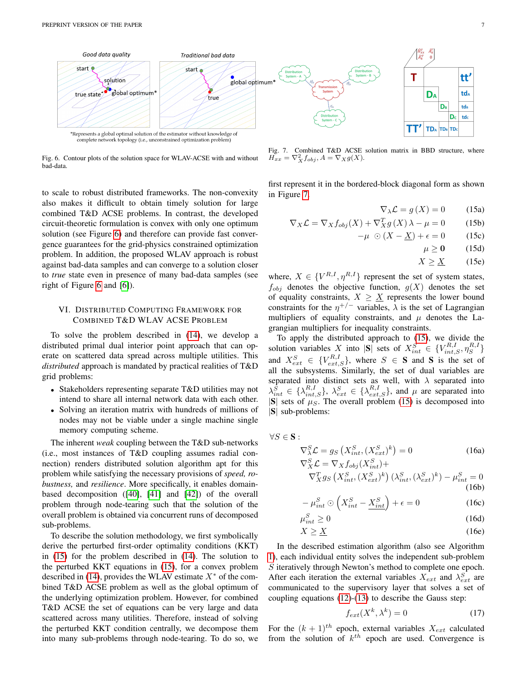

<span id="page-6-0"></span>Fig. 6. Contour plots of the solution space for WLAV-ACSE with and without bad-data.

to scale to robust distributed frameworks. The non-convexity also makes it difficult to obtain timely solution for large combined T&D ACSE problems. In contrast, the developed circuit-theoretic formulation is convex with only one optimum solution (see Figure [6\)](#page-6-0) and therefore can provide fast convergence guarantees for the grid-physics constrained optimization problem. In addition, the proposed WLAV approach is robust against bad-data samples and can converge to a solution closer to *true* state even in presence of many bad-data samples (see right of Figure [6](#page-6-0) and [\[6\]](#page-8-5)).

## VI. DISTRIBUTED COMPUTING FRAMEWORK FOR COMBINED T&D WLAV ACSE PROBLEM

To solve the problem described in [\(14\)](#page-5-0), we develop a distributed primal dual interior point approach that can operate on scattered data spread across multiple utilities. This *distributed* approach is mandated by practical realities of T&D grid problems:

- Stakeholders representing separate T&D utilities may not intend to share all internal network data with each other.
- Solving an iteration matrix with hundreds of millions of nodes may not be viable under a single machine single memory computing scheme.

The inherent *weak* coupling between the T&D sub-networks (i.e., most instances of T&D coupling assumes radial connection) renders distributed solution algorithm apt for this problem while satisfying the necessary provisions of *speed, robustness,* and *resilience*. More specifically, it enables domainbased decomposition ([\[40\]](#page-9-28), [\[41\]](#page-9-29) and [\[42\]](#page-9-30)) of the overall problem through node-tearing such that the solution of the overall problem is obtained via concurrent runs of decomposed sub-problems.

To describe the solution methodology, we first symbolically derive the perturbed first-order optimality conditions (KKT) in [\(15\)](#page-6-1) for the problem described in [\(14\)](#page-5-0). The solution to the perturbed KKT equations in [\(15\)](#page-6-1), for a convex problem described in [\(14\)](#page-5-0), provides the WLAV estimate  $X^*$  of the combined T&D ACSE problem as well as the global optimum of the underlying optimization problem. However, for combined T&D ACSE the set of equations can be very large and data scattered across many utilities. Therefore, instead of solving the perturbed KKT condition centrally, we decompose them into many sub-problems through node-tearing. To do so, we

<span id="page-6-2"></span>Fig. 7. Combined T&D ACSE solution matrix in BBD structure, where  $H_{xx} = \nabla_X^2 f_{obj}, A = \nabla_X g(X).$ 

first represent it in the bordered-block diagonal form as shown in Figure [7.](#page-6-2)

$$
\nabla_{\lambda} \mathcal{L} = g(X) = 0 \qquad (15a)
$$

<span id="page-6-1"></span>
$$
\nabla_X \mathcal{L} = \nabla_X f_{obj}(X) + \nabla_X^T g(X) \lambda - \mu = 0 \tag{15b}
$$

$$
-\mu \odot (X - \underline{X}) + \epsilon = 0 \tag{15c}
$$

$$
\mu \ge 0 \qquad (15d)
$$

$$
X \ge \underline{X} \qquad (15e)
$$

where,  $X \in \{V^{R,I}, \eta^{R,I}\}\$  represent the set of system states,  $f_{obj}$  denotes the objective function,  $g(X)$  denotes the set of equality constraints,  $X \geq \underline{X}$  represents the lower bound constraints for the  $\eta^{+/-}$  variables,  $\lambda$  is the set of Lagrangian multipliers of equality constraints, and  $\mu$  denotes the Lagrangian multipliers for inequality constraints.

To apply the distributed approach to [\(15\)](#page-6-1), we divide the solution variables X into  $|\mathbf{S}|$  sets of  $X_{int}^{S} \in \{V_{int,S}^{R,I}, \eta_{S}^{R,I}\}\$ and  $X_{ext}^S \in \{V_{ext,S}^{R,I}\}\$ , where  $S \in S$  and S is the set of all the subsystems. Similarly, the set of dual variables are separated into distinct sets as well, with  $\lambda$  separated into  $\lambda_{int}^{\tilde{S}} \in {\lambda_{int,S}^{R,I}}, \lambda_{ext}^{S} \in {\lambda_{ext,S}^{R,I}},$  and  $\mu$  are separated into  $|S|$  sets of  $\mu_S$ . The overall problem [\(15\)](#page-6-1) is decomposed into |S| sub-problems:

<span id="page-6-3"></span> $\forall S \in \mathbf{S}$ :

 $\mu$ 

$$
\nabla_{\lambda}^{S} \mathcal{L} = g_{S} \left( X_{int}^{S}, (X_{ext}^{S})^{k} \right) = 0
$$
\n
$$
\nabla_{X}^{S} \mathcal{L} = \nabla_{X} f_{obj} (X_{int}^{S}) +
$$
\n(16a)

$$
\nabla_X^T g_S\left(X_{int}^S, (X_{ext}^S)^k\right) \left(\lambda_{int}^S, (\lambda_{ext}^S)^k\right) - \mu_{int}^S = 0
$$
\n(16b)

$$
-\mu_{int}^{S} \odot \left(X_{int}^{S} - \underline{X_{int}^{S}}\right) + \epsilon = 0
$$
 (16c)

$$
s_{int} \ge 0 \tag{16d}
$$

$$
X \ge \underline{X} \tag{16e}
$$

In the described estimation algorithm (also see Algorithm [1\)](#page-7-1), each individual entity solves the independent sub-problem S iteratively through Newton's method to complete one epoch. After each iteration the external variables  $X_{ext}$  and  $\lambda_{ext}^S$  are communicated to the supervisory layer that solves a set of coupling equations [\(12\)](#page-4-3)-[\(13\)](#page-4-4) to describe the Gauss step:

<span id="page-6-4"></span>
$$
f_{ext}(X^k, \lambda^k) = 0 \tag{17}
$$

For the  $(k + 1)^{th}$  epoch, external variables  $X_{ext}$  calculated from the solution of  $k^{th}$  epoch are used. Convergence is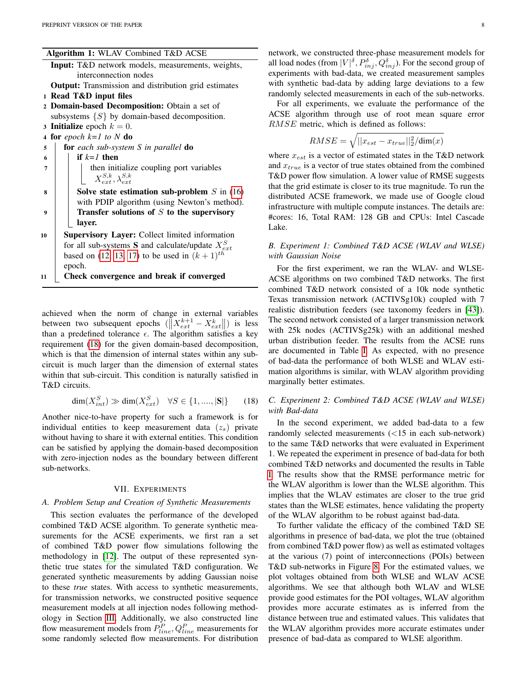| Algorithm 1: WLAV Combined T&D ACSE |  |  |  |
|-------------------------------------|--|--|--|
|-------------------------------------|--|--|--|

<span id="page-7-1"></span>

| <b>Input:</b> T&D network models, measurements, weights,    |  |
|-------------------------------------------------------------|--|
| interconnection nodes                                       |  |
| <b>Output:</b> Transmission and distribution grid estimates |  |

- 1 Read T&D input files
- <sup>2</sup> Domain-based Decomposition: Obtain a set of
	- subsystems  $\{S\}$  by domain-based decomposition.
- 3 **Initialize** epoch  $k = 0$ .
- <sup>4</sup> for *epoch k=1 to N* do
- <sup>5</sup> for *each sub-system S in parallel* do
- 6 **if**  $k=1$  then  $7 \mid \cdot \cdot \cdot \rangle$  then initialize coupling port variables  $X_{ext}^{S,k}, \lambda_{ext}^{S,k}$  $\mathbf{s}$  | Solve state estimation sub-problem S in [\(16\)](#page-6-3)
- with PDIP algorithm (using Newton's method).  $9 \mid$  Transfer solutions of S to the supervisory layer.
- 10 | Supervisory Layer: Collect limited information for all sub-systems **S** and calculate/update  $X_{ext}^{S}$ based on [\(12,](#page-4-3) [13,](#page-4-4) [17\)](#page-6-4) to be used in  $(k + 1)^{th}$ epoch.
- 11 Check convergence and break if converged

achieved when the norm of change in external variables between two subsequent epochs  $(||X_{ext}^{k+1} - X_{ext}^{k}||)$  is less than a predefined tolerance  $\epsilon$ . The algorithm satisfies a key requirement [\(18\)](#page-7-2) for the given domain-based decomposition, which is that the dimension of internal states within any subcircuit is much larger than the dimension of external states within that sub-circuit. This condition is naturally satisfied in T&D circuits.

$$
\dim(X_{int}^{S}) \gg \dim(X_{ext}^{S}) \quad \forall S \in \{1, \dots, |\mathbf{S}|\} \tag{18}
$$

Another nice-to-have property for such a framework is for individual entities to keep measurement data  $(z<sub>s</sub>)$  private without having to share it with external entities. This condition can be satisfied by applying the domain-based decomposition with zero-injection nodes as the boundary between different sub-networks.

#### VII. EXPERIMENTS

# <span id="page-7-0"></span>*A. Problem Setup and Creation of Synthetic Measurements*

This section evaluates the performance of the developed combined T&D ACSE algorithm. To generate synthetic measurements for the ACSE experiments, we first ran a set of combined T&D power flow simulations following the methodology in [\[12\]](#page-9-0). The output of these represented synthetic true states for the simulated T&D configuration. We generated synthetic measurements by adding Gaussian noise to these *true* states. With access to synthetic measurements, for transmission networks, we constructed positive sequence measurement models at all injection nodes following methodology in Section [III.](#page-2-0) Additionally, we also constructed line flow measurement models from  $P_{line}^P, Q_{line}^P$  measurements for some randomly selected flow measurements. For distribution network, we constructed three-phase measurement models for all load nodes (from  $|V|^{\delta}, P^{\delta}_{inj}, Q^{\delta}_{inj}$ ). For the second group of experiments with bad-data, we created measurement samples with synthetic bad-data by adding large deviations to a few randomly selected measurements in each of the sub-networks.

For all experiments, we evaluate the performance of the ACSE algorithm through use of root mean square error RMSE metric, which is defined as follows:

$$
RMSE = \sqrt{||x_{est} - x_{true}||_2^2 / \dim(x)}
$$

where  $x_{est}$  is a vector of estimated states in the T&D network and  $x_{true}$  is a vector of true states obtained from the combined T&D power flow simulation. A lower value of RMSE suggests that the grid estimate is closer to its true magnitude. To run the distributed ACSE framework, we made use of Google cloud infrastructure with multiple compute instances. The details are: #cores: 16, Total RAM: 128 GB and CPUs: Intel Cascade Lake.

# *B. Experiment 1: Combined T&D ACSE (WLAV and WLSE) with Gaussian Noise*

For the first experiment, we ran the WLAV- and WLSE-ACSE algorithms on two combined T&D networks. The first combined T&D network consisted of a 10k node synthetic Texas transmission network (ACTIVSg10k) coupled with 7 realistic distribution feeders (see taxonomy feeders in [\[43\]](#page-9-31)). The second network consisted of a larger transmission network with 25k nodes (ACTIVSg25k) with an additional meshed urban distribution feeder. The results from the ACSE runs are documented in Table [I.](#page-8-11) As expected, with no presence of bad-data the performance of both WLSE and WLAV estimation algorithms is similar, with WLAV algorithm providing marginally better estimates.

## <span id="page-7-2"></span>*C. Experiment 2: Combined T&D ACSE (WLAV and WLSE) with Bad-data*

In the second experiment, we added bad-data to a few randomly selected measurements (<15 in each sub-network) to the same T&D networks that were evaluated in Experiment 1. We repeated the experiment in presence of bad-data for both combined T&D networks and documented the results in Table [I.](#page-8-11) The results show that the RMSE performance metric for the WLAV algorithm is lower than the WLSE algorithm. This implies that the WLAV estimates are closer to the true grid states than the WLSE estimates, hence validating the property of the WLAV algorithm to be robust against bad-data.

To further validate the efficacy of the combined T&D SE algorithms in presence of bad-data, we plot the true (obtained from combined T&D power flow) as well as estimated voltages at the various (7) point of interconnections (POIs) between T&D sub-networks in Figure [8.](#page-8-12) For the estimated values, we plot voltages obtained from both WLSE and WLAV ACSE algorithms. We see that although both WLAV and WLSE provide good estimates for the POI voltages, WLAV algorithm provides more accurate estimates as is inferred from the distance between true and estimated values. This validates that the WLAV algorithm provides more accurate estimates under presence of bad-data as compared to WLSE algorithm.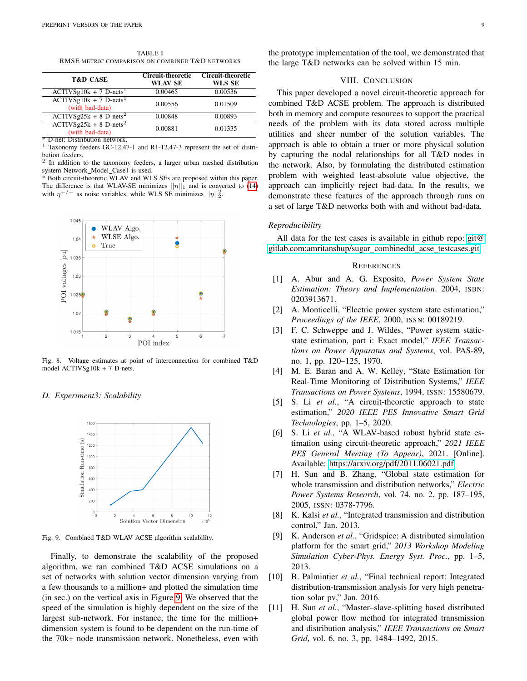TABLE I RMSE METRIC COMPARISON ON COMBINED T&D NETWORKS

<span id="page-8-11"></span>

| <b>T&amp;D CASE</b>                                     | <b>Circuit-theoretic</b><br><b>WLAV SE</b> | <b>Circuit-theoretic</b><br>WLS SE |
|---------------------------------------------------------|--------------------------------------------|------------------------------------|
| $ACTIVSg10k + 7$ D-nets <sup>1</sup>                    | 0.00465                                    | 0.00536                            |
| $ACTIVSg10k + 7$ D-nets <sup>1</sup><br>(with bad-data) | 0.00556                                    | 0.01509                            |
| $ACTIVSg25k + 8$ D-nets <sup>2</sup>                    | 0.00848                                    | 0.00893                            |
| $ACTIVSg25k + 8$ D-nets <sup>2</sup><br>(with bad-data) | 0.00881                                    | 0.01335                            |

 $*$  D-net: Distribution network<br> $\frac{1}{1}$  Taxonomy feeders GC 12.4

Taxonomy feeders GC-12.47-1 and R1-12.47-3 represent the set of distribution feeders.

2 In addition to the taxonomy feeders, a larger urban meshed distribution system Network Model Case1 is used.

\* Both circuit-theoretic WLAV and WLS SEs are proposed within this paper. The difference is that WLAV-SE minimizes  $||\eta||_1$  and is converted to [\(14\)](#page-5-0) with  $\eta^{+/-}$  as noise variables, while WLS SE minimizes  $||\eta||_2^2$ .



<span id="page-8-12"></span>Fig. 8. Voltage estimates at point of interconnection for combined T&D model ACTIVSg10k + 7 D-nets.

## *D. Experiment3: Scalability*



<span id="page-8-13"></span>Fig. 9. Combined T&D WLAV ACSE algorithm scalability.

Finally, to demonstrate the scalability of the proposed algorithm, we ran combined T&D ACSE simulations on a set of networks with solution vector dimension varying from a few thousands to a million+ and plotted the simulation time (in sec.) on the vertical axis in Figure [9.](#page-8-13) We observed that the speed of the simulation is highly dependent on the size of the largest sub-network. For instance, the time for the million+ dimension system is found to be dependent on the run-time of the 70k+ node transmission network. Nonetheless, even with the prototype implementation of the tool, we demonstrated that the large T&D networks can be solved within 15 min.

# VIII. CONCLUSION

This paper developed a novel circuit-theoretic approach for combined T&D ACSE problem. The approach is distributed both in memory and compute resources to support the practical needs of the problem with its data stored across multiple utilities and sheer number of the solution variables. The approach is able to obtain a truer or more physical solution by capturing the nodal relationships for all T&D nodes in the network. Also, by formulating the distributed estimation problem with weighted least-absolute value objective, the approach can implicitly reject bad-data. In the results, we demonstrate these features of the approach through runs on a set of large T&D networks both with and without bad-data.

#### *Reproducibility*

All data for the test cases is available in github repo: [git@](git@gitlab.com:amritanshup/sugar_combinedtd_acse_testcases.git) [gitlab.com:amritanshup/sugar](git@gitlab.com:amritanshup/sugar_combinedtd_acse_testcases.git)\_combinedtd\_acse\_testcases.git

#### **REFERENCES**

- <span id="page-8-0"></span>[1] A. Abur and A. G. Exposito, *Power System State Estimation: Theory and Implementation*. 2004, ISBN: 0203913671.
- <span id="page-8-1"></span>[2] A. Monticelli, "Electric power system state estimation," *Proceedings of the IEEE*, 2000, ISSN: 00189219.
- <span id="page-8-2"></span>[3] F. C. Schweppe and J. Wildes, "Power system staticstate estimation, part i: Exact model," *IEEE Transactions on Power Apparatus and Systems*, vol. PAS-89, no. 1, pp. 120–125, 1970.
- <span id="page-8-3"></span>[4] M. E. Baran and A. W. Kelley, "State Estimation for Real-Time Monitoring of Distribution Systems," *IEEE Transactions on Power Systems*, 1994, ISSN: 15580679.
- <span id="page-8-4"></span>[5] S. Li *et al.*, "A circuit-theoretic approach to state estimation," *2020 IEEE PES Innovative Smart Grid Technologies*, pp. 1–5, 2020.
- <span id="page-8-5"></span>[6] S. Li *et al.*, "A WLAV-based robust hybrid state estimation using circuit-theoretic approach," *2021 IEEE PES General Meeting (To Appear)*, 2021. [Online]. Available: [https://arxiv.org/pdf/2011.06021.pdf.](https://arxiv.org/pdf/2011.06021.pdf)
- <span id="page-8-6"></span>[7] H. Sun and B. Zhang, "Global state estimation for whole transmission and distribution networks," *Electric Power Systems Research*, vol. 74, no. 2, pp. 187–195, 2005, ISSN: 0378-7796.
- <span id="page-8-7"></span>[8] K. Kalsi *et al.*, "Integrated transmission and distribution control," Jan. 2013.
- <span id="page-8-8"></span>[9] K. Anderson *et al.*, "Gridspice: A distributed simulation platform for the smart grid," *2013 Workshop Modeling Simulation Cyber-Phys. Energy Syst. Proc.*, pp. 1–5, 2013.
- <span id="page-8-9"></span>[10] B. Palmintier *et al.*, "Final technical report: Integrated distribution-transmission analysis for very high penetration solar pv," Jan. 2016.
- <span id="page-8-10"></span>[11] H. Sun *et al.*, "Master-slave-splitting based distributed global power flow method for integrated transmission and distribution analysis," *IEEE Transactions on Smart Grid*, vol. 6, no. 3, pp. 1484–1492, 2015.